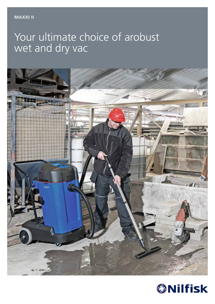# Your ultimate choice of arobust wet and dry vac



![](_page_0_Picture_3.jpeg)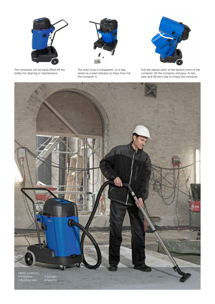![](_page_1_Picture_0.jpeg)

The containers can be easily lifted off the trolley for cleaning or maintenance.

![](_page_1_Picture_2.jpeg)

The drain hose is transparent, so it also works as a level indicator to show how full the container is.

![](_page_1_Picture_4.jpeg)

Pull the release catch at the bottom front of the container, lift the container and pour. A fast, easy and efficient way to empty the container.

![](_page_1_Picture_6.jpeg)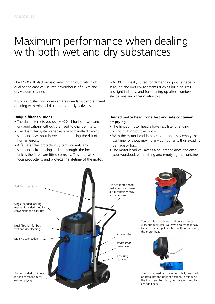# Maximum performance when dealing with both wet and dry substances

The MAXXI II platform is combining productivity, high quality and ease of use into a workhorse of a wet and dry vacuum cleaner.

It is your trusted tool when an area needs fast and efficient cleaning with minimal disruption of daily activities.

### **Unique filter solutions**

- The dual filter lets you use MAXXI II for both wet and dry applications without the need to change filters.
- The dual filter system enables you to handle different substances without intervention reducing the risk of human errors.
- A failsafe filter protection system prevents any substances from being sucked through the hose unless the filters are fitted correctly. This in creases your productivity and protects the lifetime of the motor.

MAXXI II is ideally suited for demanding jobs, especially in rough and wet environments such as building sites and light industry, and for cleaning up after plumbers, electricians and other contractors.

### **Hinged motor head, for a fast and safe container emptying**

- The hinged motor head allows fast filter changing without lifting off the motor.
- With the motor head in place, you can easily empty the container without moving any components thus avoiding damage or loss.
- The motor head will act as a counter balance and ease your workload, when lifting and emptying the container.

![](_page_2_Picture_13.jpeg)

![](_page_2_Picture_14.jpeg)

You can clean both wet and dry substances with our dual filter. We have also made it easy for you to change the filters, without removing the motor head.

![](_page_2_Picture_16.jpeg)

The motor head can be either totally removed or lifted into the upright position to minimise the lifting and handling, normally required to change filters.